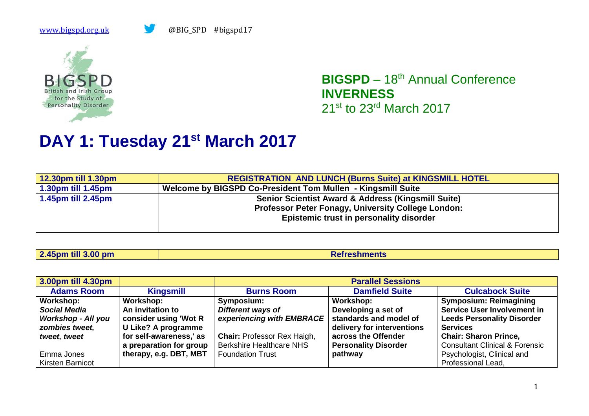

**BIGSPD** – 18<sup>th</sup> Annual Conference **INVERNESS** 21st to 23rd March 2017

## **DAY 1: Tuesday 21st March 2017**

| 12.30pm till 1.30pm        | <b>REGISTRATION AND LUNCH (Burns Suite) at KINGSMILL HOTEL</b> |
|----------------------------|----------------------------------------------------------------|
| $\vert$ 1.30pm till 1.45pm | Welcome by BIGSPD Co-President Tom Mullen - Kingsmill Suite    |
| $\vert$ 1.45pm till 2.45pm | Senior Scientist Award & Address (Kingsmill Suite)             |
|                            | <b>Professor Peter Fonagy, University College London:</b>      |
|                            | Epistemic trust in personality disorder                        |
|                            |                                                                |

| $\sqrt{2.45}$ pm till 3.00 pm | <b>Refreshments</b> |
|-------------------------------|---------------------|
|                               |                     |

| 3.00pm till 4.30pm        |                            |                                    | <b>Parallel Sessions</b>    |                                           |
|---------------------------|----------------------------|------------------------------------|-----------------------------|-------------------------------------------|
| <b>Adams Room</b>         | <b>Kingsmill</b>           | <b>Burns Room</b>                  | <b>Damfield Suite</b>       | <b>Culcabock Suite</b>                    |
| Workshop:                 | Workshop:                  | Symposium:                         | Workshop:                   | <b>Symposium: Reimagining</b>             |
| Social Media              | An invitation to           | Different ways of                  | Developing a set of         | <b>Service User Involvement in</b>        |
| <b>Workshop - All you</b> | consider using 'Wot R      | experiencing with EMBRACE          | standards and model of      | <b>Leeds Personality Disorder</b>         |
| zombies tweet,            | <b>U Like? A programme</b> |                                    | delivery for interventions  | <b>Services</b>                           |
| tweet, tweet              | for self-awareness,' as    | <b>Chair: Professor Rex Haigh,</b> | across the Offender         | <b>Chair: Sharon Prince,</b>              |
|                           | a preparation for group    | <b>Berkshire Healthcare NHS</b>    | <b>Personality Disorder</b> | <b>Consultant Clinical &amp; Forensic</b> |
| Emma Jones                | therapy, e.g. DBT, MBT     | <b>Foundation Trust</b>            | pathway                     | Psychologist, Clinical and                |
| <b>Kirsten Barnicot</b>   |                            |                                    |                             | Professional Lead,                        |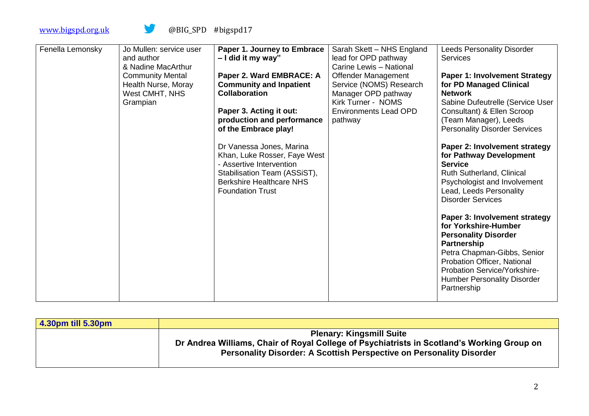| Fenella Lemonsky | Jo Mullen: service user<br>and author | Paper 1. Journey to Embrace<br>$-1$ did it my way" | Sarah Skett - NHS England<br>lead for OPD pathway | <b>Leeds Personality Disorder</b><br><b>Services</b> |
|------------------|---------------------------------------|----------------------------------------------------|---------------------------------------------------|------------------------------------------------------|
|                  | & Nadine MacArthur                    |                                                    | Carine Lewis - National                           |                                                      |
|                  | <b>Community Mental</b>               | Paper 2. Ward EMBRACE: A                           | <b>Offender Management</b>                        | <b>Paper 1: Involvement Strategy</b>                 |
|                  | Health Nurse, Moray                   | <b>Community and Inpatient</b>                     | Service (NOMS) Research                           | for PD Managed Clinical                              |
|                  | West CMHT, NHS                        | <b>Collaboration</b>                               | Manager OPD pathway                               | <b>Network</b>                                       |
|                  | Grampian                              |                                                    | Kirk Turner - NOMS                                | Sabine Dufeutrelle (Service User                     |
|                  |                                       | Paper 3. Acting it out:                            | <b>Environments Lead OPD</b>                      | Consultant) & Ellen Scroop                           |
|                  |                                       | production and performance                         | pathway                                           | (Team Manager), Leeds                                |
|                  |                                       | of the Embrace play!                               |                                                   | <b>Personality Disorder Services</b>                 |
|                  |                                       |                                                    |                                                   |                                                      |
|                  |                                       | Dr Vanessa Jones, Marina                           |                                                   | Paper 2: Involvement strategy                        |
|                  |                                       | Khan, Luke Rosser, Faye West                       |                                                   | for Pathway Development                              |
|                  |                                       | - Assertive Intervention                           |                                                   | <b>Service</b>                                       |
|                  |                                       | Stabilisation Team (ASSiST),                       |                                                   | <b>Ruth Sutherland, Clinical</b>                     |
|                  |                                       | <b>Berkshire Healthcare NHS</b>                    |                                                   | Psychologist and Involvement                         |
|                  |                                       | <b>Foundation Trust</b>                            |                                                   | Lead, Leeds Personality                              |
|                  |                                       |                                                    |                                                   | <b>Disorder Services</b>                             |
|                  |                                       |                                                    |                                                   |                                                      |
|                  |                                       |                                                    |                                                   | Paper 3: Involvement strategy                        |
|                  |                                       |                                                    |                                                   | for Yorkshire-Humber                                 |
|                  |                                       |                                                    |                                                   | <b>Personality Disorder</b>                          |
|                  |                                       |                                                    |                                                   | Partnership                                          |
|                  |                                       |                                                    |                                                   | Petra Chapman-Gibbs, Senior                          |
|                  |                                       |                                                    |                                                   | Probation Officer, National                          |
|                  |                                       |                                                    |                                                   | Probation Service/Yorkshire-                         |
|                  |                                       |                                                    |                                                   | <b>Humber Personality Disorder</b>                   |
|                  |                                       |                                                    |                                                   | Partnership                                          |
|                  |                                       |                                                    |                                                   |                                                      |

| 4.30pm till 5.30pm |                                                                                            |
|--------------------|--------------------------------------------------------------------------------------------|
|                    | <b>Plenary: Kingsmill Suite</b>                                                            |
|                    | Dr Andrea Williams, Chair of Royal College of Psychiatrists in Scotland's Working Group on |
|                    | Personality Disorder: A Scottish Perspective on Personality Disorder                       |
|                    |                                                                                            |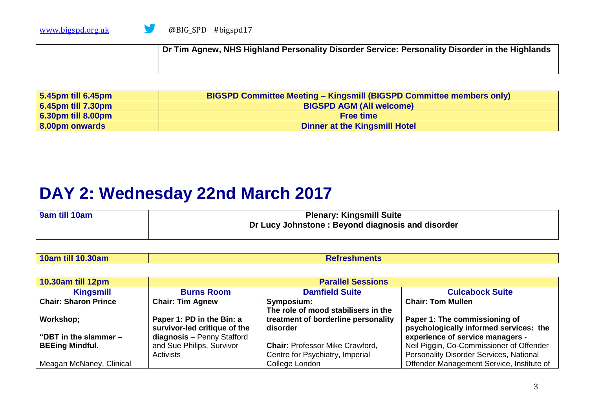| Dr Tim Agnew, NHS Highland Personality Disorder Service: Personality Disorder in the Highlands |
|------------------------------------------------------------------------------------------------|
|                                                                                                |

| $\vert$ 5.45pm till 6.45pm | <b>BIGSPD Committee Meeting - Kingsmill (BIGSPD Committee members only)</b> |
|----------------------------|-----------------------------------------------------------------------------|
| 6.45pm till 7.30pm         | <b>BIGSPD AGM (All welcome)</b>                                             |
| 6.30pm till 8.00pm         | <b>Free time</b>                                                            |
| 8.00pm onwards             | Dinner at the Kingsmill Hotel                                               |

## **DAY 2: Wednesday 22nd March 2017**

| 9am till 10am | <b>Plenary: Kingsmill Suite</b><br>Dr Lucy Johnstone: Beyond diagnosis and disorder |
|---------------|-------------------------------------------------------------------------------------|
|               |                                                                                     |

| 10am till 10.30am | <b>Refreshments</b> |
|-------------------|---------------------|
|-------------------|---------------------|

| 10.30am till 12pm           | <b>Parallel Sessions</b>     |                                        |                                           |
|-----------------------------|------------------------------|----------------------------------------|-------------------------------------------|
| Kingsmill                   | <b>Burns Room</b>            | <b>Damfield Suite</b>                  | <b>Culcabock Suite</b>                    |
| <b>Chair: Sharon Prince</b> | <b>Chair: Tim Agnew</b>      | Symposium:                             | <b>Chair: Tom Mullen</b>                  |
|                             |                              | The role of mood stabilisers in the    |                                           |
| Workshop;                   | Paper 1: PD in the Bin: a    | treatment of borderline personality    | Paper 1: The commissioning of             |
|                             | survivor-led critique of the | disorder                               | psychologically informed services: the    |
| "DBT in the slammer -       | diagnosis - Penny Stafford   |                                        | experience of service managers -          |
| <b>BEEing Mindful.</b>      | and Sue Philips, Survivor    | <b>Chair: Professor Mike Crawford,</b> | Neil Piggin, Co-Commissioner of Offender  |
|                             | Activists                    | Centre for Psychiatry, Imperial        | Personality Disorder Services, National   |
| Meagan McNaney, Clinical    |                              | College London                         | Offender Management Service, Institute of |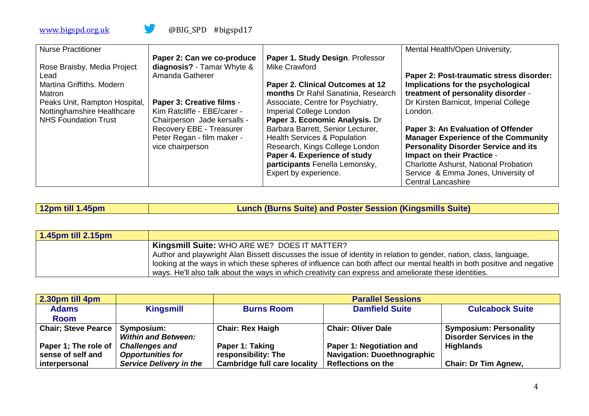| <b>Nurse Practitioner</b>                                   | Paper 2: Can we co-produce                                      | Paper 1. Study Design. Professor                                          | Mental Health/Open University,                                                            |
|-------------------------------------------------------------|-----------------------------------------------------------------|---------------------------------------------------------------------------|-------------------------------------------------------------------------------------------|
| Rose Braisby, Media Project<br>Lead                         | diagnosis? - Tamar Whyte &<br>Amanda Gatherer                   | Mike Crawford                                                             | Paper 2: Post-traumatic stress disorder:                                                  |
| Martina Griffiths, Modern<br>Matron                         |                                                                 | Paper 2. Clinical Outcomes at 12<br>months Dr Rahil Sanatinia, Research   | Implications for the psychological<br>treatment of personality disorder -                 |
| Peaks Unit, Rampton Hospital,<br>Nottinghamshire Healthcare | <b>Paper 3: Creative films -</b><br>Kim Ratcliffe - EBE/carer - | Associate, Centre for Psychiatry,<br><b>Imperial College London</b>       | Dr Kirsten Barnicot, Imperial College<br>London.                                          |
| <b>NHS Foundation Trust</b>                                 | Chairperson Jade kersalls -<br>Recovery EBE - Treasurer         | Paper 3. Economic Analysis. Dr<br>Barbara Barrett, Senior Lecturer,       | Paper 3: An Evaluation of Offender                                                        |
|                                                             | Peter Regan - film maker -<br>vice chairperson                  | <b>Health Services &amp; Population</b><br>Research, Kings College London | <b>Manager Experience of the Community</b><br><b>Personality Disorder Service and its</b> |
|                                                             |                                                                 | Paper 4. Experience of study<br>participants Fenella Lemonsky,            | <b>Impact on their Practice -</b><br><b>Charlotte Ashurst, National Probation</b>         |
|                                                             |                                                                 | Expert by experience.                                                     | Service & Emma Jones, University of<br><b>Central Lancashire</b>                          |

| Lunch (Burns Suite) and Poster Session (Kingsmills Suite)<br>  12pm till 1.45pm |  |
|---------------------------------------------------------------------------------|--|
|---------------------------------------------------------------------------------|--|

| $\vert$ 1.45pm till 2.15pm |                                                                                                                         |
|----------------------------|-------------------------------------------------------------------------------------------------------------------------|
|                            | Kingsmill Suite: WHO ARE WE? DOES IT MATTER?                                                                            |
|                            | Author and playwright Alan Bissett discusses the issue of identity in relation to gender, nation, class, language,      |
|                            | looking at the ways in which these spheres of influence can both affect our mental health in both positive and negative |
|                            | ways. He'll also talk about the ways in which creativity can express and ameliorate these identities.                   |

| 2.30pm till 4pm                          |                                | <b>Parallel Sessions</b>            |                                    |                                 |
|------------------------------------------|--------------------------------|-------------------------------------|------------------------------------|---------------------------------|
| <b>Adams</b>                             | <b>Kingsmill</b>               | <b>Burns Room</b>                   | <b>Damfield Suite</b>              | <b>Culcabock Suite</b>          |
| <b>Room</b>                              |                                |                                     |                                    |                                 |
| <b>Chair</b> ; Steve Pearce   Symposium: |                                | <b>Chair: Rex Haigh</b>             | <b>Chair: Oliver Dale</b>          | <b>Symposium: Personality</b>   |
|                                          | <b>Within and Between:</b>     |                                     |                                    | <b>Disorder Services in the</b> |
| Paper 1; The role of   Challenges and    |                                | Paper 1: Taking                     | Paper 1: Negotiation and           | <b>Highlands</b>                |
| sense of self and                        | <b>Opportunities for</b>       | responsibility: The                 | <b>Navigation: Duoethnographic</b> |                                 |
| interpersonal                            | <b>Service Delivery in the</b> | <b>Cambridge full care locality</b> | <b>Reflections on the</b>          | <b>Chair: Dr Tim Agnew,</b>     |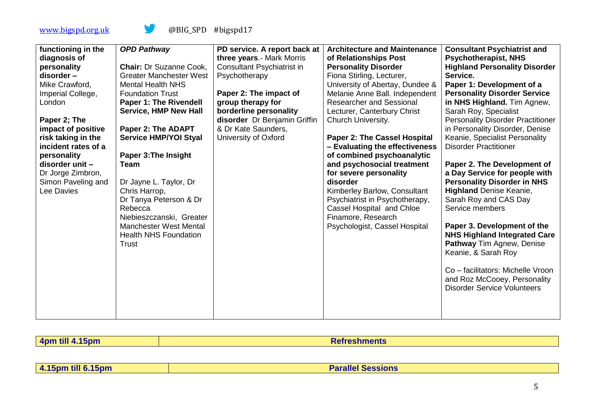|                     |                                |                              | <b>Architecture and Maintenance</b> |                                          |
|---------------------|--------------------------------|------------------------------|-------------------------------------|------------------------------------------|
| functioning in the  | <b>OPD Pathway</b>             | PD service. A report back at |                                     | <b>Consultant Psychiatrist and</b>       |
| diagnosis of        |                                | three years.- Mark Morris    | of Relationships Post               | <b>Psychotherapist, NHS</b>              |
| personality         | <b>Chair: Dr Suzanne Cook,</b> | Consultant Psychiatrist in   | <b>Personality Disorder</b>         | <b>Highland Personality Disorder</b>     |
| disorder-           | <b>Greater Manchester West</b> | Psychotherapy                | Fiona Stirling, Lecturer,           | Service.                                 |
| Mike Crawford,      | <b>Mental Health NHS</b>       |                              | University of Abertay, Dundee &     | Paper 1: Development of a                |
| Imperial College,   | <b>Foundation Trust</b>        | Paper 2: The impact of       | Melanie Anne Ball. Independent      | <b>Personality Disorder Service</b>      |
| London              | <b>Paper 1: The Rivendell</b>  | group therapy for            | <b>Researcher and Sessional</b>     | in NHS Highland. Tim Agnew,              |
|                     | <b>Service, HMP New Hall</b>   | borderline personality       | Lecturer, Canterbury Christ         | Sarah Roy, Specialist                    |
| Paper 2; The        |                                | disorder Dr Benjamin Griffin | Church University.                  | <b>Personality Disorder Practitioner</b> |
| impact of positive  | Paper 2: The ADAPT             | & Dr Kate Saunders,          |                                     | in Personality Disorder, Denise          |
| risk taking in the  | <b>Service HMP/YOI Styal</b>   | University of Oxford         | Paper 2: The Cassel Hospital        | Keanie, Specialist Personality           |
| incident rates of a |                                |                              | - Evaluating the effectiveness      | <b>Disorder Practitioner</b>             |
| personality         |                                |                              | of combined psychoanalytic          |                                          |
|                     | Paper 3: The Insight           |                              |                                     |                                          |
| disorder unit -     | Team                           |                              | and psychosocial treatment          | Paper 2. The Development of              |
| Dr Jorge Zimbron,   |                                |                              | for severe personality              | a Day Service for people with            |
| Simon Paveling and  | Dr Jayne L. Taylor, Dr         |                              | disorder                            | <b>Personality Disorder in NHS</b>       |
| Lee Davies          | Chris Harrop,                  |                              | Kimberley Barlow, Consultant        | <b>Highland Denise Keanie,</b>           |
|                     | Dr Tanya Peterson & Dr         |                              | Psychiatrist in Psychotherapy,      | Sarah Roy and CAS Day                    |
|                     | Rebecca                        |                              | Cassel Hospital and Chloe           | Service members                          |
|                     | Niebieszczanski, Greater       |                              | Finamore, Research                  |                                          |
|                     | <b>Manchester West Mental</b>  |                              | Psychologist, Cassel Hospital       | Paper 3. Development of the              |
|                     | <b>Health NHS Foundation</b>   |                              |                                     | <b>NHS Highland Integrated Care</b>      |
|                     | Trust                          |                              |                                     | <b>Pathway Tim Agnew, Denise</b>         |
|                     |                                |                              |                                     | Keanie, & Sarah Roy                      |
|                     |                                |                              |                                     |                                          |
|                     |                                |                              |                                     | Co - facilitators: Michelle Vroon        |
|                     |                                |                              |                                     | and Roz McCooey, Personality             |
|                     |                                |                              |                                     | <b>Disorder Service Volunteers</b>       |
|                     |                                |                              |                                     |                                          |
|                     |                                |                              |                                     |                                          |
|                     |                                |                              |                                     |                                          |
|                     |                                |                              |                                     |                                          |

| <b>Anm</b><br>ъюњ<br>the contract of the contract of the contract of the contract of the contract of the contract of the contract of | $  -$ | $\mathcal{L}^{\text{max}}_{\text{max}}$ and $\mathcal{L}^{\text{max}}_{\text{max}}$ and $\mathcal{L}^{\text{max}}_{\text{max}}$ and $\mathcal{L}^{\text{max}}_{\text{max}}$ |
|--------------------------------------------------------------------------------------------------------------------------------------|-------|-----------------------------------------------------------------------------------------------------------------------------------------------------------------------------|

**4.15pm till 6.15pm**<br>**Parallel Sessions**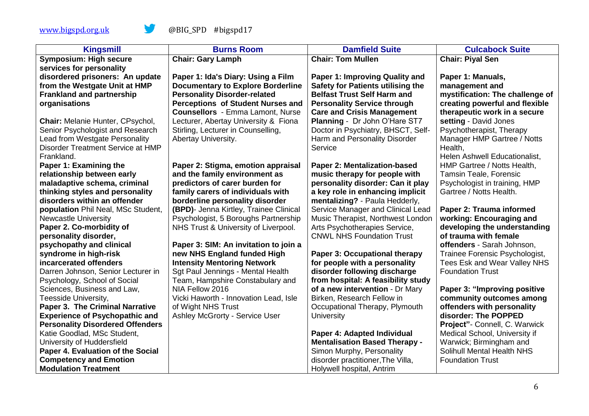| <b>Kingsmill</b>                                          | <b>Burns Room</b>                        | <b>Damfield Suite</b>                    | <b>Culcabock Suite</b>                                   |
|-----------------------------------------------------------|------------------------------------------|------------------------------------------|----------------------------------------------------------|
| <b>Symposium: High secure</b>                             | <b>Chair: Gary Lamph</b>                 | <b>Chair: Tom Mullen</b>                 | <b>Chair: Piyal Sen</b>                                  |
| services for personality                                  |                                          |                                          |                                                          |
| disordered prisoners: An update                           | Paper 1: Ida's Diary: Using a Film       | Paper 1: Improving Quality and           | Paper 1: Manuals,                                        |
| from the Westgate Unit at HMP                             | <b>Documentary to Explore Borderline</b> | <b>Safety for Patients utilising the</b> | management and                                           |
| <b>Frankland and partnership</b>                          | <b>Personality Disorder-related</b>      | <b>Belfast Trust Self Harm and</b>       | mystification: The challenge of                          |
| organisations                                             | Perceptions of Student Nurses and        | <b>Personality Service through</b>       | creating powerful and flexible                           |
|                                                           | <b>Counsellors - Emma Lamont, Nurse</b>  | <b>Care and Crisis Management</b>        | therapeutic work in a secure                             |
| Chair: Melanie Hunter, CPsychol,                          | Lecturer, Abertay University & Fiona     | Planning - Dr John O'Hare ST7            | setting - David Jones                                    |
| Senior Psychologist and Research                          | Stirling, Lecturer in Counselling,       | Doctor in Psychiatry, BHSCT, Self-       | Psychotherapist, Therapy                                 |
| Lead from Westgate Personality                            | Abertay University.                      | Harm and Personality Disorder            | Manager HMP Gartree / Notts                              |
| Disorder Treatment Service at HMP                         |                                          | Service                                  | Health,                                                  |
| Frankland.                                                |                                          |                                          | Helen Ashwell Educationalist,                            |
| Paper 1: Examining the                                    | Paper 2: Stigma, emotion appraisal       | Paper 2: Mentalization-based             | HMP Gartree / Notts Health,                              |
| relationship between early                                | and the family environment as            | music therapy for people with            | Tamsin Teale, Forensic                                   |
| maladaptive schema, criminal                              | predictors of carer burden for           | personality disorder: Can it play        | Psychologist in training, HMP                            |
| thinking styles and personality                           | family carers of individuals with        | a key role in enhancing implicit         | Gartree / Notts Health.                                  |
| disorders within an offender                              | borderline personality disorder          | mentalizing? - Paula Hedderly,           |                                                          |
| population Phil Neal, MSc Student,                        | (BPD)- Jenna Kirtley, Trainee Clinical   | Service Manager and Clinical Lead        | Paper 2: Trauma informed                                 |
| <b>Newcastle University</b>                               | Psychologist, 5 Boroughs Partnership     | Music Therapist, Northwest London        | working: Encouraging and                                 |
| Paper 2. Co-morbidity of                                  | NHS Trust & University of Liverpool.     | Arts Psychotherapies Service,            | developing the understanding                             |
| personality disorder,                                     |                                          | <b>CNWL NHS Foundation Trust</b>         | of trauma with female                                    |
| psychopathy and clinical                                  | Paper 3: SIM: An invitation to join a    |                                          | offenders - Sarah Johnson,                               |
| syndrome in high-risk                                     | new NHS England funded High              | Paper 3: Occupational therapy            | Trainee Forensic Psychologist,                           |
| incarcerated offenders                                    | <b>Intensity Mentoring Network</b>       | for people with a personality            | Tees Esk and Wear Valley NHS                             |
| Darren Johnson, Senior Lecturer in                        | Sgt Paul Jennings - Mental Health        | disorder following discharge             | <b>Foundation Trust</b>                                  |
| Psychology, School of Social                              | Team, Hampshire Constabulary and         | from hospital: A feasibility study       |                                                          |
| Sciences, Business and Law,                               | NIA Fellow 2016                          | of a new intervention - Dr Mary          | Paper 3: "Improving positive                             |
| Teesside University,                                      | Vicki Haworth - Innovation Lead, Isle    | Birken, Research Fellow in               | community outcomes among                                 |
| <b>Paper 3. The Criminal Narrative</b>                    | of Wight NHS Trust                       | Occupational Therapy, Plymouth           | offenders with personality                               |
| <b>Experience of Psychopathic and</b>                     | Ashley McGrorty - Service User           | <b>University</b>                        | disorder: The POPPED                                     |
| <b>Personality Disordered Offenders</b>                   |                                          | Paper 4: Adapted Individual              | Project" - Connell, C. Warwick                           |
| Katie Goodlad, MSc Student,<br>University of Huddersfield |                                          | <b>Mentalisation Based Therapy -</b>     | Medical School, University if<br>Warwick; Birmingham and |
| Paper 4. Evaluation of the Social                         |                                          | Simon Murphy, Personality                | Solihull Mental Health NHS                               |
| <b>Competency and Emotion</b>                             |                                          |                                          |                                                          |
|                                                           |                                          | disorder practitioner, The Villa,        | <b>Foundation Trust</b>                                  |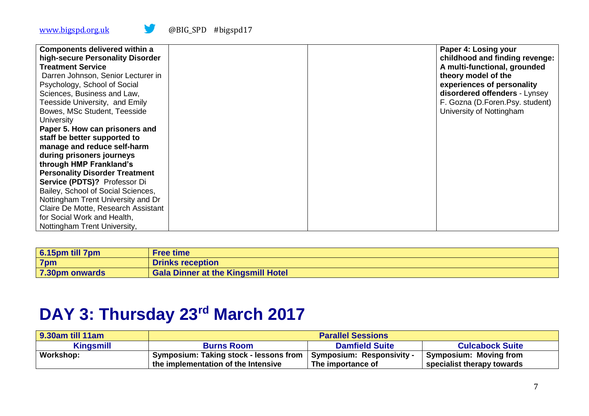| <b>Components delivered within a</b><br>high-secure Personality Disorder |  | Paper 4: Losing your<br>childhood and finding revenge: |
|--------------------------------------------------------------------------|--|--------------------------------------------------------|
| <b>Treatment Service</b>                                                 |  | A multi-functional, grounded                           |
| Darren Johnson, Senior Lecturer in                                       |  | theory model of the                                    |
| Psychology, School of Social                                             |  | experiences of personality                             |
| Sciences, Business and Law,                                              |  | disordered offenders - Lynsey                          |
| Teesside University, and Emily                                           |  | F. Gozna (D.Foren.Psy. student)                        |
| Bowes, MSc Student, Teesside                                             |  | University of Nottingham                               |
| <b>University</b>                                                        |  |                                                        |
| Paper 5. How can prisoners and                                           |  |                                                        |
| staff be better supported to                                             |  |                                                        |
| manage and reduce self-harm                                              |  |                                                        |
| during prisoners journeys                                                |  |                                                        |
| through HMP Frankland's                                                  |  |                                                        |
| <b>Personality Disorder Treatment</b>                                    |  |                                                        |
| Service (PDTS)? Professor Di                                             |  |                                                        |
| Bailey, School of Social Sciences,                                       |  |                                                        |
| Nottingham Trent University and Dr                                       |  |                                                        |
| Claire De Motte, Research Assistant                                      |  |                                                        |
| for Social Work and Health,                                              |  |                                                        |
| Nottingham Trent University,                                             |  |                                                        |

| $6.15pm$ till 7pm | <b>Free time</b>                          |
|-------------------|-------------------------------------------|
| 7pm               | <b>Drinks reception</b>                   |
| 7.30pm onwards    | <b>Gala Dinner at the Kingsmill Hotel</b> |

## **DAY 3: Thursday 23rd March 2017**

| 9.30am till 11am | <b>Parallel Sessions</b>               |                             |                               |
|------------------|----------------------------------------|-----------------------------|-------------------------------|
| <b>Kingsmill</b> | <b>Burns Room</b>                      | <b>Damfield Suite</b>       | <b>Culcabock Suite</b>        |
| Workshop:        | Symposium: Taking stock - lessons from | ' Symposium: Responsivity - | <b>Symposium: Moving from</b> |
|                  | the implementation of the Intensive    | The importance of           | specialist therapy towards    |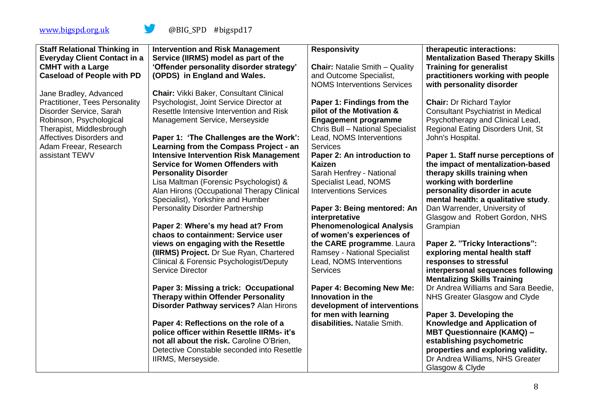| <b>Staff Relational Thinking in</b><br><b>Everyday Client Contact in a</b> | <b>Intervention and Risk Management</b><br>Service (IIRMS) model as part of the          | <b>Responsivity</b>                          | therapeutic interactions:<br><b>Mentalization Based Therapy Skills</b>   |
|----------------------------------------------------------------------------|------------------------------------------------------------------------------------------|----------------------------------------------|--------------------------------------------------------------------------|
| <b>CMHT with a Large</b>                                                   | 'Offender personality disorder strategy'                                                 | <b>Chair: Natalie Smith - Quality</b>        | <b>Training for generalist</b>                                           |
| <b>Caseload of People with PD</b>                                          | (OPDS) in England and Wales.                                                             | and Outcome Specialist,                      | practitioners working with people                                        |
|                                                                            |                                                                                          | <b>NOMS Interventions Services</b>           | with personality disorder                                                |
| Jane Bradley, Advanced                                                     | <b>Chair: Vikki Baker, Consultant Clinical</b>                                           |                                              |                                                                          |
| <b>Practitioner, Tees Personality</b>                                      | Psychologist, Joint Service Director at                                                  | Paper 1: Findings from the                   | <b>Chair: Dr Richard Taylor</b>                                          |
|                                                                            | Resettle Intensive Intervention and Risk                                                 | pilot of the Motivation &                    | <b>Consultant Psychiatrist in Medical</b>                                |
| Disorder Service, Sarah                                                    |                                                                                          |                                              |                                                                          |
| Robinson, Psychological                                                    | Management Service, Merseyside                                                           | <b>Engagement programme</b>                  | Psychotherapy and Clinical Lead,                                         |
| Therapist, Middlesbrough                                                   |                                                                                          | Chris Bull - National Specialist             | Regional Eating Disorders Unit, St                                       |
| Affectives Disorders and                                                   | Paper 1: 'The Challenges are the Work':                                                  | Lead, NOMS Interventions                     | John's Hospital.                                                         |
| Adam Freear, Research                                                      | Learning from the Compass Project - an                                                   | <b>Services</b>                              |                                                                          |
| assistant TEWV                                                             | <b>Intensive Intervention Risk Management</b><br><b>Service for Women Offenders with</b> | Paper 2: An introduction to<br><b>Kaizen</b> | Paper 1. Staff nurse perceptions of<br>the impact of mentalization-based |
|                                                                            | <b>Personality Disorder</b>                                                              | Sarah Henfrey - National                     | therapy skills training when                                             |
|                                                                            | Lisa Maltman (Forensic Psychologist) &                                                   | Specialist Lead, NOMS                        | working with borderline                                                  |
|                                                                            | Alan Hirons (Occupational Therapy Clinical                                               | <b>Interventions Services</b>                | personality disorder in acute                                            |
|                                                                            | Specialist), Yorkshire and Humber                                                        |                                              | mental health: a qualitative study.                                      |
|                                                                            | <b>Personality Disorder Partnership</b>                                                  | Paper 3: Being mentored: An                  | Dan Warrender, University of                                             |
|                                                                            |                                                                                          | interpretative                               | Glasgow and Robert Gordon, NHS                                           |
|                                                                            | Paper 2: Where's my head at? From                                                        | <b>Phenomenological Analysis</b>             | Grampian                                                                 |
|                                                                            | chaos to containment: Service user                                                       | of women's experiences of                    |                                                                          |
|                                                                            | views on engaging with the Resettle                                                      | the CARE programme. Laura                    | Paper 2. "Tricky Interactions":                                          |
|                                                                            | (IRMS) Project. Dr Sue Ryan, Chartered                                                   | <b>Ramsey - National Specialist</b>          | exploring mental health staff                                            |
|                                                                            | Clinical & Forensic Psychologist/Deputy                                                  | Lead, NOMS Interventions                     | responses to stressful                                                   |
|                                                                            | <b>Service Director</b>                                                                  | <b>Services</b>                              | interpersonal sequences following                                        |
|                                                                            |                                                                                          |                                              | <b>Mentalizing Skills Training</b>                                       |
|                                                                            | Paper 3: Missing a trick: Occupational                                                   | Paper 4: Becoming New Me:                    | Dr Andrea Williams and Sara Beedie,                                      |
|                                                                            | <b>Therapy within Offender Personality</b>                                               | Innovation in the                            | NHS Greater Glasgow and Clyde                                            |
|                                                                            | Disorder Pathway services? Alan Hirons                                                   | development of interventions                 |                                                                          |
|                                                                            |                                                                                          | for men with learning                        | Paper 3. Developing the                                                  |
|                                                                            | Paper 4: Reflections on the role of a                                                    | disabilities. Natalie Smith.                 | <b>Knowledge and Application of</b>                                      |
|                                                                            | police officer within Resettle IIRMs- it's                                               |                                              | <b>MBT Questionnaire (KAMQ) -</b>                                        |
|                                                                            | not all about the risk. Caroline O'Brien,                                                |                                              | establishing psychometric                                                |
|                                                                            | Detective Constable seconded into Resettle                                               |                                              | properties and exploring validity.                                       |
|                                                                            | IIRMS, Merseyside.                                                                       |                                              | Dr Andrea Williams, NHS Greater                                          |
|                                                                            |                                                                                          |                                              | Glasgow & Clyde                                                          |
|                                                                            |                                                                                          |                                              |                                                                          |